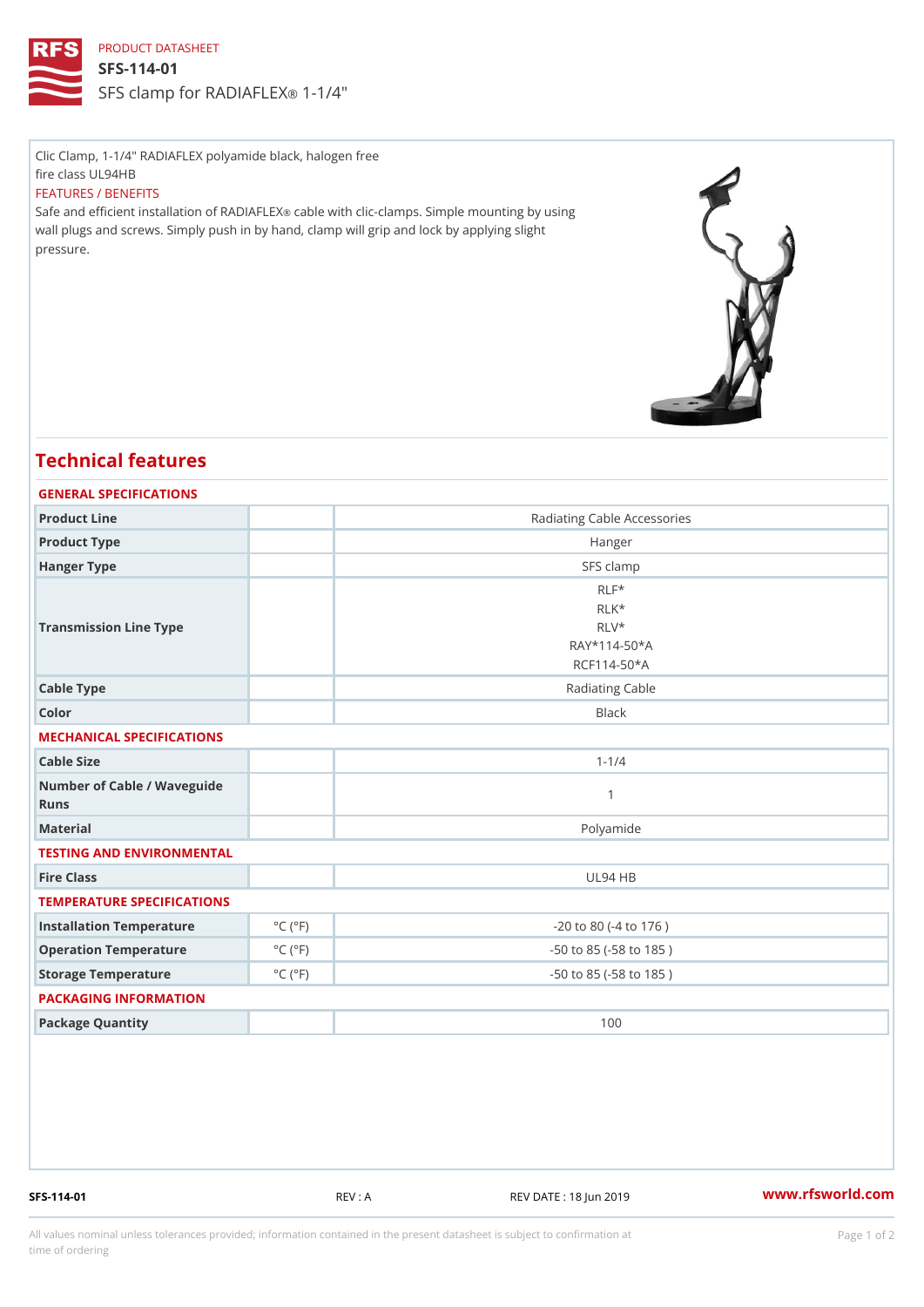## PRODUCT DATASHEET

SFS-114-01 SFS clamp for RADI-AF4'EX

Clic Clamp, 1-1/4" RADIAFLEX polyamide black, halogen free fire class UL94HB FEATURES / BENEFITS Safe and efficient installation celo IRe An Dilth Foll Exclamps. Simple mounting by using wall plugs and screws. Simply push in by hand, clamp will grip and lock by applying slight

## Technical features

pressure.

| GENERAL SPECIFICATIONS              |                             |                                  |
|-------------------------------------|-----------------------------|----------------------------------|
| Product Line                        |                             | Radiating Cable Accessories      |
| Product Type                        |                             | Hanger                           |
| Hanger Type                         |                             | SFS clamp                        |
| Transmission Line Type              |                             | $RLF*$                           |
|                                     |                             | RLK*                             |
|                                     |                             | RLV*                             |
|                                     |                             | $RAY*114-50*A$                   |
|                                     |                             | RCF114-50*A                      |
| Cable Type                          |                             | Radiating Cable                  |
| Color                               |                             | <b>Black</b>                     |
| MECHANICAL SPECIFICATIONS           |                             |                                  |
| Cable Size                          |                             | $1 - 1/4$                        |
| Number of Cable / Waveguide<br>Runs |                             | $\mathbf{1}$                     |
| Material                            |                             | Polyamide                        |
| TESTING AND ENVIRONMENTAL           |                             |                                  |
| Fire Class                          |                             | UL94 HB                          |
| TEMPERATURE SPECIFICATIONS          |                             |                                  |
| Installation Temperature            | $^{\circ}$ C ( $^{\circ}$ F | $-20$ to $80$ ( $-4$ to $176$ )  |
| Operation Temperature               | $^{\circ}$ C ( $^{\circ}$ F | $-50$ to $85$ ( $-58$ to $185$ ) |
| Storage Temperature                 | $^{\circ}$ C ( $^{\circ}$ F | $-50$ to $85$ ( $-58$ to $185$ ) |
| PACKAGING INFORMATION               |                             |                                  |
| Package Quantity                    |                             | 100                              |
|                                     |                             |                                  |

SFS-114-01 REV : A REV DATE : 18 Jun 2019 WWW.rfsworld.com

All values nominal unless tolerances provided; information contained in the present datasheet is subject to Pcapgeign manation time of ordering